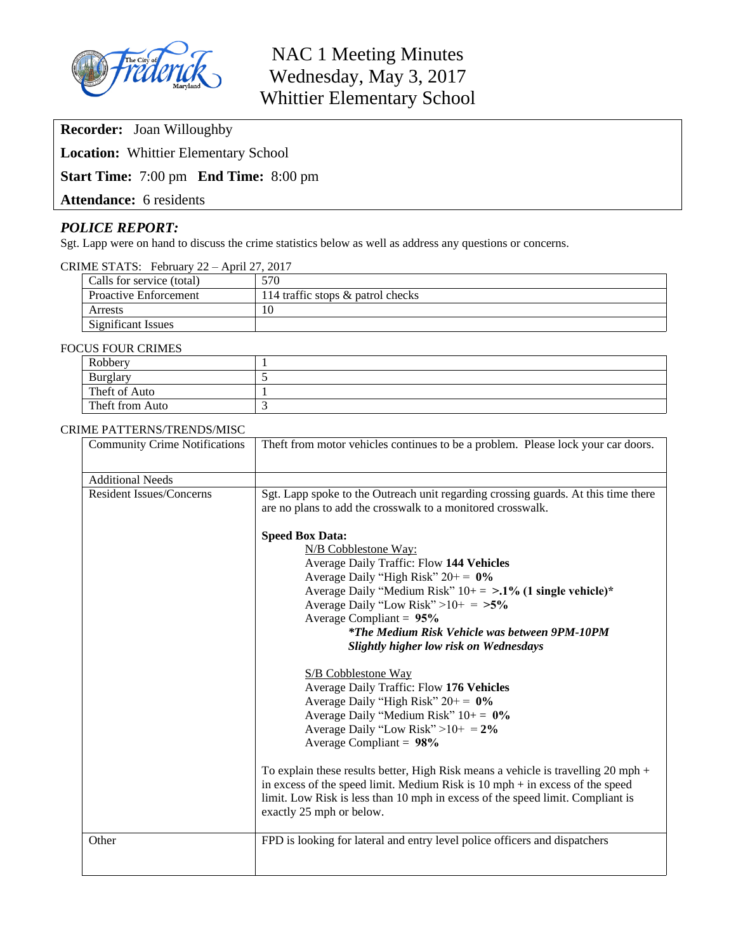

NAC 1 Meeting Minutes Wednesday, May 3, 2017 Whittier Elementary School

**Recorder:** Joan Willoughby

**Location:** Whittier Elementary School

# **Start Time:** 7:00 pm **End Time:** 8:00 pm

**Attendance:** 6 residents

# *POLICE REPORT:*

Sgt. Lapp were on hand to discuss the crime statistics below as well as address any questions or concerns.

| CRIME STATS: February 22 - April 27, 2017 |  |  |  |
|-------------------------------------------|--|--|--|
|-------------------------------------------|--|--|--|

| Calls for service (total)    | 570                               |
|------------------------------|-----------------------------------|
| <b>Proactive Enforcement</b> | 114 traffic stops & patrol checks |
| Arrests                      | 10                                |
| Significant Issues           |                                   |

#### FOCUS FOUR CRIMES

| $\sim$ - $\sim$ - $\sim$ - $\sim$ - $\sim$ - $\sim$ |  |  |
|-----------------------------------------------------|--|--|
| Robbery                                             |  |  |
| <b>Burglary</b>                                     |  |  |
| Theft of Auto                                       |  |  |
| Theft from Auto                                     |  |  |

### CRIME PATTERNS/TRENDS/MISC

| <b>Community Crime Notifications</b> | Theft from motor vehicles continues to be a problem. Please lock your car doors.                                                                                                                                                                                                                                                                                                                                                                                                                                                                                                                                                                                                                  |
|--------------------------------------|---------------------------------------------------------------------------------------------------------------------------------------------------------------------------------------------------------------------------------------------------------------------------------------------------------------------------------------------------------------------------------------------------------------------------------------------------------------------------------------------------------------------------------------------------------------------------------------------------------------------------------------------------------------------------------------------------|
| <b>Additional Needs</b>              |                                                                                                                                                                                                                                                                                                                                                                                                                                                                                                                                                                                                                                                                                                   |
| <b>Resident Issues/Concerns</b>      | Sgt. Lapp spoke to the Outreach unit regarding crossing guards. At this time there<br>are no plans to add the crosswalk to a monitored crosswalk.<br><b>Speed Box Data:</b><br>N/B Cobblestone Way:<br>Average Daily Traffic: Flow 144 Vehicles<br>Average Daily "High Risk" $20+= 0\%$<br>Average Daily "Medium Risk" $10+=\text{~1\% (1 single vehicle)}*$<br>Average Daily "Low Risk" > $10+ = 5\%$<br>Average Compliant = $95%$<br><i>*The Medium Risk Vehicle was between 9PM-10PM</i><br><b>Slightly higher low risk on Wednesdays</b><br>S/B Cobblestone Way<br>Average Daily Traffic: Flow 176 Vehicles<br>Average Daily "High Risk" $20+= 0\%$<br>Average Daily "Medium Risk" $10+= 0\%$ |
|                                      | Average Daily "Low Risk" > $10+ = 2\%$<br>Average Compliant = $98\%$                                                                                                                                                                                                                                                                                                                                                                                                                                                                                                                                                                                                                              |
|                                      | To explain these results better, High Risk means a vehicle is travelling 20 mph $+$<br>in excess of the speed limit. Medium Risk is $10$ mph $+$ in excess of the speed<br>limit. Low Risk is less than 10 mph in excess of the speed limit. Compliant is<br>exactly 25 mph or below.                                                                                                                                                                                                                                                                                                                                                                                                             |
| Other                                | FPD is looking for lateral and entry level police officers and dispatchers                                                                                                                                                                                                                                                                                                                                                                                                                                                                                                                                                                                                                        |